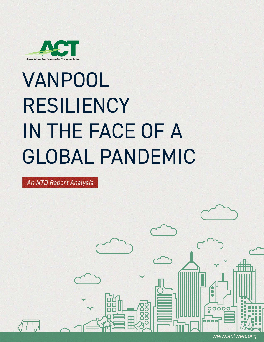

## VANPOOL RESILIENCY IN THE FACE OF A GLOBAL PANDEMIC

An NTD Report Analysis





*www.actweb.org*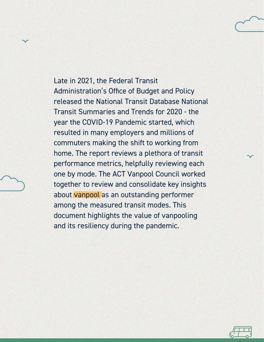Late in 2021, the Federal Transit Administration's Office of Budget and Policy released the National Transit Database National Transit Summaries and Trends for 2020 - the year the COVID-19 Pandemic started, which resulted in many employers and millions of commuters making the shift to working from home. The report reviews a plethora of transit performance metrics, helpfully reviewing each one by mode. The ACT Vanpool Council worked together to review and consolidate key insights about vanpool as an outstanding performer among the measured transit modes. This document highlights the value of vanpooling and its resiliency during the pandemic.



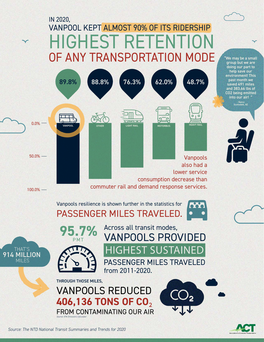## VANPOOL KEPT ALMOST 90% OF ITS RIDERSHIP HIGHEST RETENTIO OF ANY TRANSPORTATION MODE IN 2020,





"We may be a small group but we are doing our part to